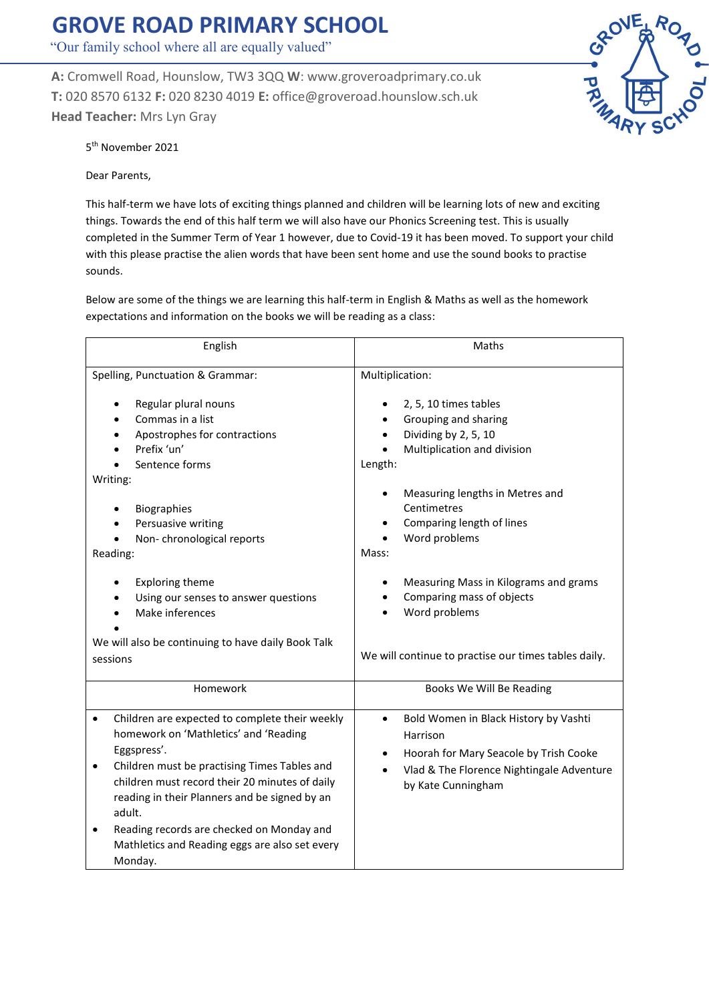## **GROVE ROAD PRIMARY SCHOOL**

"Our family school where all are equally valued"

**A:** Cromwell Road, Hounslow, TW3 3QQ **W**: www.groveroadprimary.co.uk **T:** 020 8570 6132 **F:** 020 8230 4019 **E:** office@groveroad.hounslow.sch.uk **Head Teacher:** Mrs Lyn Gray



5 th November 2021

Dear Parents,

This half-term we have lots of exciting things planned and children will be learning lots of new and exciting things. Towards the end of this half term we will also have our Phonics Screening test. This is usually completed in the Summer Term of Year 1 however, due to Covid-19 it has been moved. To support your child with this please practise the alien words that have been sent home and use the sound books to practise sounds.

Below are some of the things we are learning this half-term in English & Maths as well as the homework expectations and information on the books we will be reading as a class:

| Maths                                                                                                                                                                                                                                                |
|------------------------------------------------------------------------------------------------------------------------------------------------------------------------------------------------------------------------------------------------------|
| Multiplication:                                                                                                                                                                                                                                      |
| 2, 5, 10 times tables<br>Grouping and sharing<br>Dividing by 2, 5, 10<br>Multiplication and division<br>Length:                                                                                                                                      |
| Measuring lengths in Metres and<br>Centimetres<br>Comparing length of lines<br>Word problems<br>Mass:<br>Measuring Mass in Kilograms and grams<br>Comparing mass of objects<br>Word problems<br>We will continue to practise our times tables daily. |
| Books We Will Be Reading                                                                                                                                                                                                                             |
| Bold Women in Black History by Vashti<br>$\bullet$<br>Harrison<br>Hoorah for Mary Seacole by Trish Cooke<br>Vlad & The Florence Nightingale Adventure<br>by Kate Cunningham                                                                          |
|                                                                                                                                                                                                                                                      |